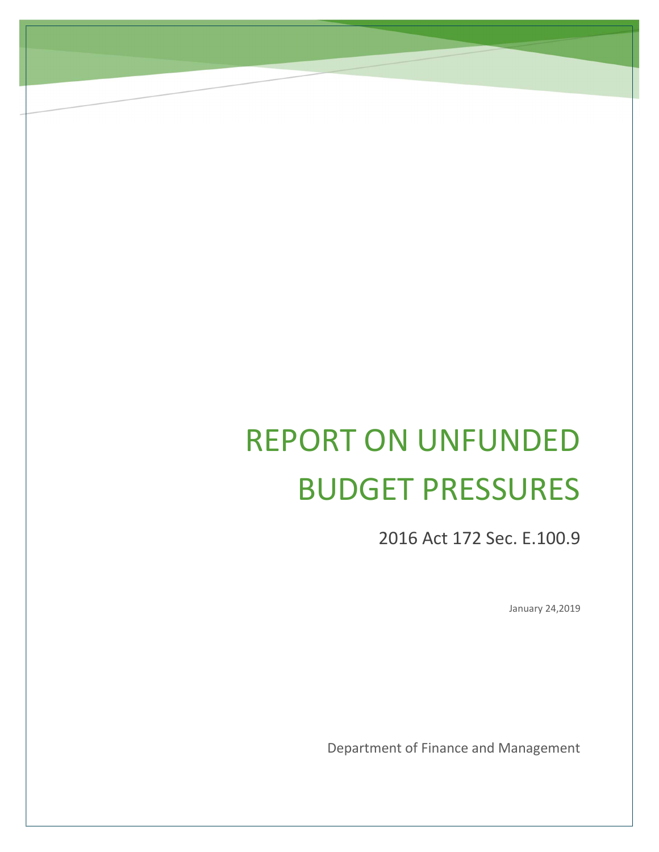# REPORT ON UNFUNDED BUDGET PRESSURES

2016 Act 172 Sec. E.100.9

January 24,2019

Department of Finance and Management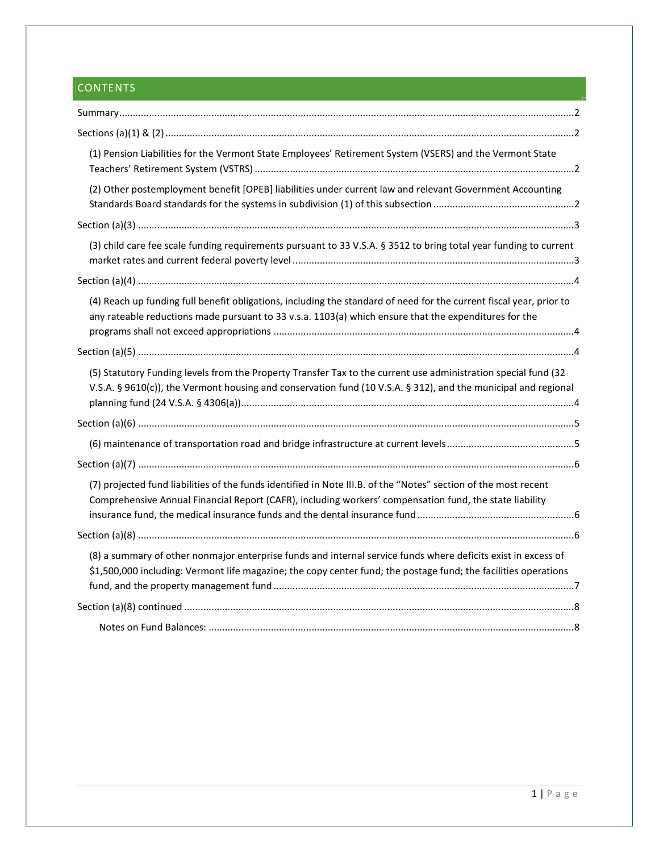# **CONTENTS**

| (1) Pension Liabilities for the Vermont State Employees' Retirement System (VSERS) and the Vermont State                                                                                                                         |
|----------------------------------------------------------------------------------------------------------------------------------------------------------------------------------------------------------------------------------|
| (2) Other postemployment benefit [OPEB] liabilities under current law and relevant Government Accounting                                                                                                                         |
|                                                                                                                                                                                                                                  |
| (3) child care fee scale funding requirements pursuant to 33 V.S.A. § 3512 to bring total year funding to current                                                                                                                |
|                                                                                                                                                                                                                                  |
| (4) Reach up funding full benefit obligations, including the standard of need for the current fiscal year, prior to<br>any rateable reductions made pursuant to 33 v.s.a. 1103(a) which ensure that the expenditures for the     |
|                                                                                                                                                                                                                                  |
| (5) Statutory Funding levels from the Property Transfer Tax to the current use administration special fund (32<br>V.S.A. § 9610(c)), the Vermont housing and conservation fund (10 V.S.A. § 312), and the municipal and regional |
|                                                                                                                                                                                                                                  |
|                                                                                                                                                                                                                                  |
|                                                                                                                                                                                                                                  |
| (7) projected fund liabilities of the funds identified in Note III.B. of the "Notes" section of the most recent<br>Comprehensive Annual Financial Report (CAFR), including workers' compensation fund, the state liability       |
|                                                                                                                                                                                                                                  |
| (8) a summary of other nonmajor enterprise funds and internal service funds where deficits exist in excess of<br>\$1,500,000 including: Vermont life magazine; the copy center fund; the postage fund; the facilities operations |
|                                                                                                                                                                                                                                  |
|                                                                                                                                                                                                                                  |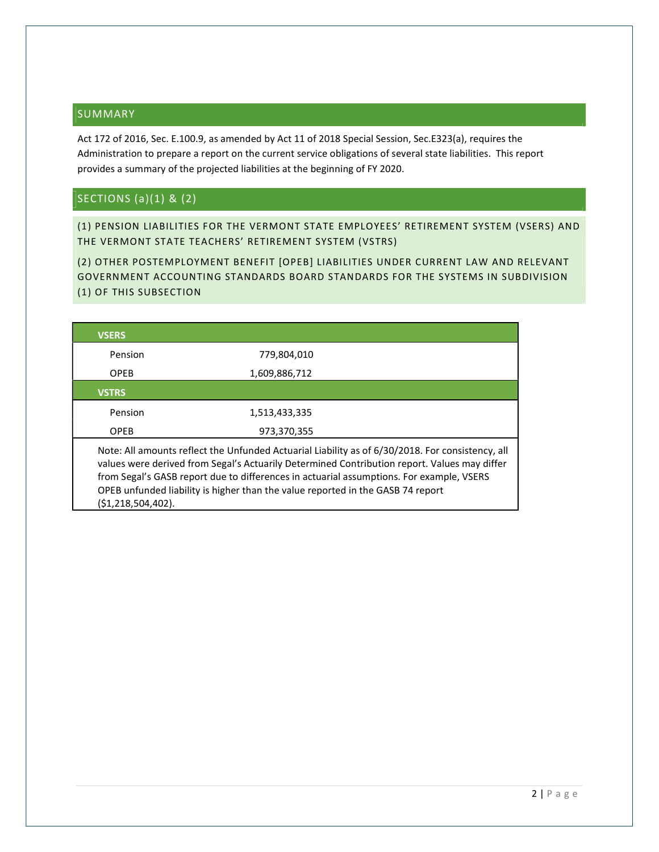## SUMMARY

Act 172 of 2016, Sec. E.100.9, as amended by Act 11 of 2018 Special Session, Sec.E323(a), requires the Administration to prepare a report on the current service obligations of several state liabilities. This report provides a summary of the projected liabilities at the beginning of FY 2020.

# SECTIONS (a)(1) & (2)

(1) PENSION LIABILITIES FOR THE VERMONT STATE EMPLOYEES' RETIREMENT SYSTEM (VSERS) AND THE VERMONT STATE TEACHERS' RETIREMENT SYSTEM (VSTRS)

(2) OTHER POSTEMPLOYMENT BENEFIT [OPEB] LIABILITIES UNDER CURRENT LAW AND RELEVANT GOVERNMENT ACCOUNTING STANDARDS BOARD STANDARDS FOR THE SYSTEMS IN SUBDIVISION (1) OF THIS SUBSECTION

| <b>VSERS</b>       |                                                                                                                                                                                                                                                                                                                                                                                 |
|--------------------|---------------------------------------------------------------------------------------------------------------------------------------------------------------------------------------------------------------------------------------------------------------------------------------------------------------------------------------------------------------------------------|
| Pension            | 779,804,010                                                                                                                                                                                                                                                                                                                                                                     |
| <b>OPEB</b>        | 1,609,886,712                                                                                                                                                                                                                                                                                                                                                                   |
| <b>VSTRS</b>       |                                                                                                                                                                                                                                                                                                                                                                                 |
| Pension            | 1,513,433,335                                                                                                                                                                                                                                                                                                                                                                   |
| <b>OPEB</b>        | 973,370,355                                                                                                                                                                                                                                                                                                                                                                     |
| (\$1,218,504,402). | Note: All amounts reflect the Unfunded Actuarial Liability as of 6/30/2018. For consistency, all<br>values were derived from Segal's Actuarily Determined Contribution report. Values may differ<br>from Segal's GASB report due to differences in actuarial assumptions. For example, VSERS<br>OPEB unfunded liability is higher than the value reported in the GASB 74 report |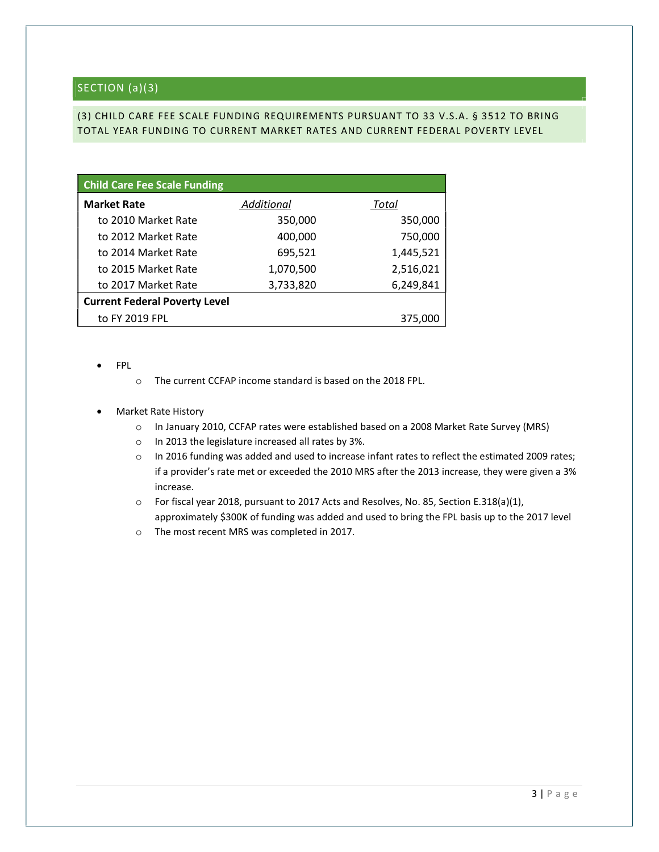# SECTION (a)(3)

## (3) CHILD CARE FEE SCALE FUNDING REQUIREMENTS PURSUANT TO 33 V.S.A. § 3512 TO BRING TOTAL YEAR FUNDING TO CURRENT MARKET RATES AND CURRENT FEDERAL POVERTY LEVEL

| <b>Child Care Fee Scale Funding</b>  |            |           |
|--------------------------------------|------------|-----------|
| <b>Market Rate</b>                   | Additional | Total     |
| to 2010 Market Rate                  | 350,000    | 350,000   |
| to 2012 Market Rate                  | 400,000    | 750,000   |
| to 2014 Market Rate                  | 695,521    | 1,445,521 |
| to 2015 Market Rate                  | 1,070,500  | 2,516,021 |
| to 2017 Market Rate                  | 3,733,820  | 6,249,841 |
| <b>Current Federal Poverty Level</b> |            |           |
| to FY 2019 FPL                       |            | 375,000   |

- FPL
- o The current CCFAP income standard is based on the 2018 FPL.
- Market Rate History
	- o In January 2010, CCFAP rates were established based on a 2008 Market Rate Survey (MRS)
	- o In 2013 the legislature increased all rates by 3%.
	- o In 2016 funding was added and used to increase infant rates to reflect the estimated 2009 rates; if a provider's rate met or exceeded the 2010 MRS after the 2013 increase, they were given a 3% increase.
	- o For fiscal year 2018, pursuant to 2017 Acts and Resolves, No. 85, Section E.318(a)(1), approximately \$300K of funding was added and used to bring the FPL basis up to the 2017 level
	- o The most recent MRS was completed in 2017.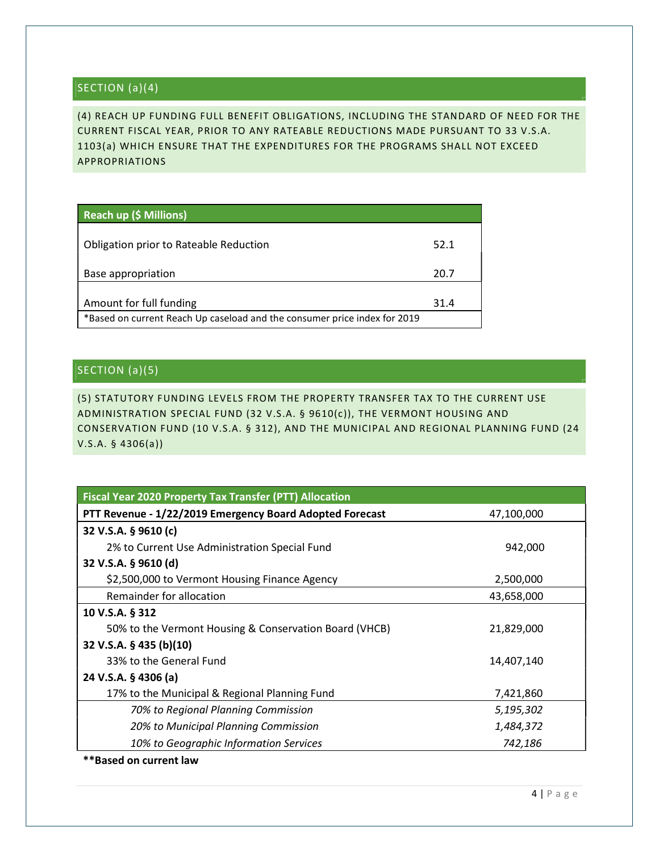# SECTION (a)(4)

(4) REACH UP FUNDING FULL BENEFIT OBLIGATIONS, INCLUDING THE STANDARD OF NEED FOR THE CURRENT FISCAL YEAR, PRIOR TO ANY RATEABLE REDUCTIONS MADE PURSUANT TO 33 V.S.A. 1103(a) WHICH ENSURE THAT THE EXPENDITURES FOR THE PROGRAMS SHALL NOT EXCEED APPROPRIATIONS

|  | Reach up (\$ Millions) |
|--|------------------------|
|--|------------------------|

| Obligation prior to Rateable Reduction                                    | 52.1 |
|---------------------------------------------------------------------------|------|
| Base appropriation                                                        | 20.7 |
| Amount for full funding                                                   | 31.4 |
| *Based on current Reach Up caseload and the consumer price index for 2019 |      |

# SECTION (a)(5)

(5) STATUTORY FUNDING LEVELS FROM THE PROPERTY TRANSFER TAX TO THE CURRENT USE ADMINISTRATION SPECIAL FUND (32 V.S.A. § 9610(c)), THE VERMONT HOUSING AND CONSERVATION FUND (10 V.S.A. § 312), AND THE MUNICIPAL AND REGIONAL PLANNING FUND (24 V.S.A. § 4306(a))

| <b>Fiscal Year 2020 Property Tax Transfer (PTT) Allocation</b> |            |
|----------------------------------------------------------------|------------|
| PTT Revenue - 1/22/2019 Emergency Board Adopted Forecast       | 47,100,000 |
| 32 V.S.A. § 9610 (c)                                           |            |
| 2% to Current Use Administration Special Fund                  | 942,000    |
| 32 V.S.A. § 9610 (d)                                           |            |
| \$2,500,000 to Vermont Housing Finance Agency                  | 2,500,000  |
| Remainder for allocation                                       | 43,658,000 |
| 10 V.S.A. § 312                                                |            |
| 50% to the Vermont Housing & Conservation Board (VHCB)         | 21,829,000 |
| 32 V.S.A. § 435 (b)(10)                                        |            |
| 33% to the General Fund                                        | 14,407,140 |
| 24 V.S.A. § 4306 (a)                                           |            |
| 17% to the Municipal & Regional Planning Fund                  | 7,421,860  |
| 70% to Regional Planning Commission                            | 5,195,302  |
| 20% to Municipal Planning Commission                           | 1,484,372  |
| 10% to Geographic Information Services                         | 742,186    |
| <b>**Based on current law</b>                                  |            |

4 | P a g e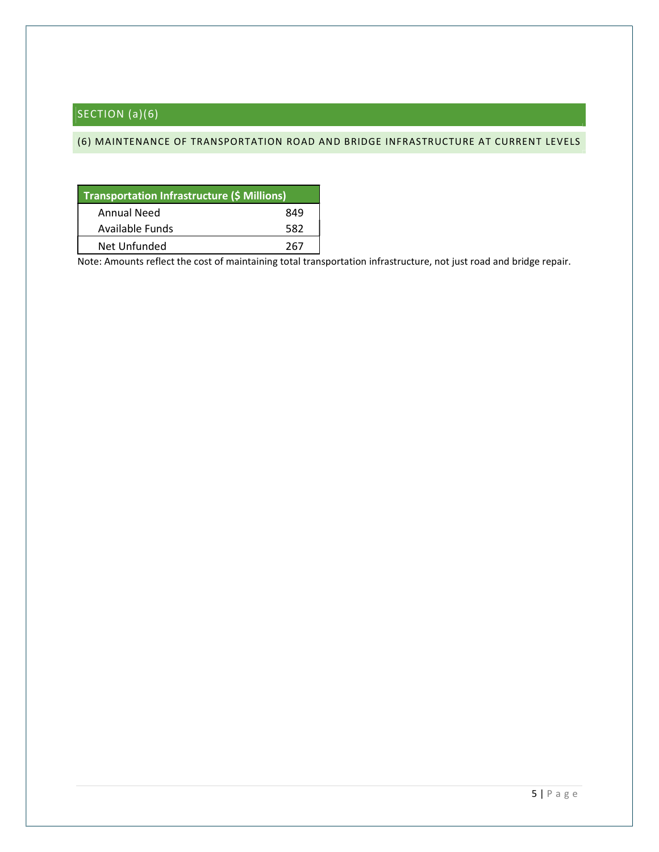# SECTION (a)(6)

## (6) MAINTENANCE OF TRANSPORTATION ROAD AND BRIDGE INFRASTRUCTURE AT CURRENT LEVELS

| <b>Transportation Infrastructure (\$ Millions)</b> |     |
|----------------------------------------------------|-----|
| Annual Need                                        | 849 |
| Available Funds                                    | 582 |
| Net Unfunded                                       | 267 |

Note: Amounts reflect the cost of maintaining total transportation infrastructure, not just road and bridge repair.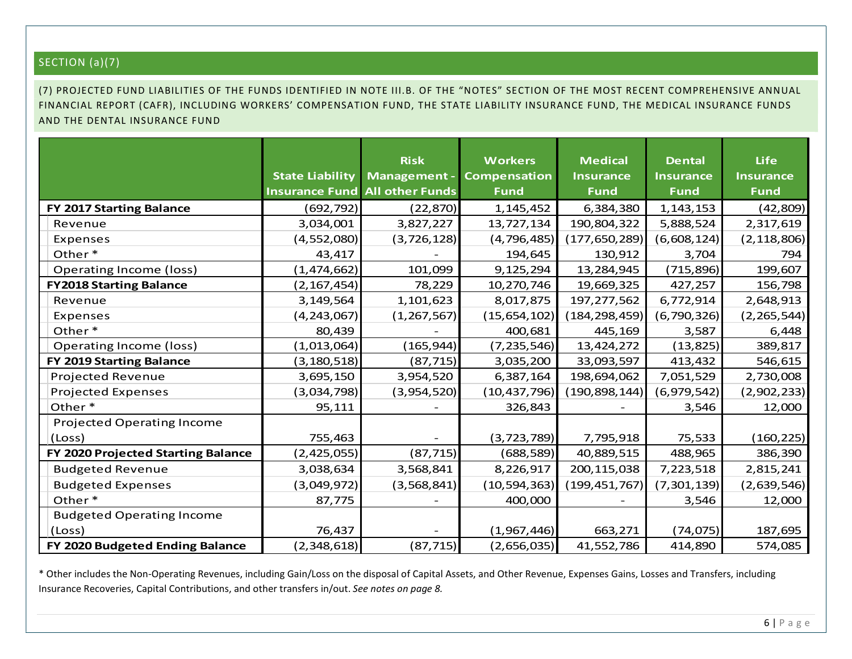# SECTION (a)(7)

(7) PROJECTED FUND LIABILITIES OF THE FUNDS IDENTIFIED IN NOTE III.B. OF THE "NOTES" SECTION OF THE MOST RECENT COMPREHENSIVE ANNUAL FINANCIAL REPORT (CAFR), INCLUDING WORKERS' COMPENSATION FUND, THE STATE LIABILITY INSURANCE FUND, THE MEDICAL INSURANCE FUNDS AND THE DENTAL INSURANCE FUND

|                                    |                        | <b>Risk</b>                           | <b>Workers</b> | <b>Medical</b>   | <b>Dental</b>    | <b>Life</b>      |
|------------------------------------|------------------------|---------------------------------------|----------------|------------------|------------------|------------------|
|                                    | <b>State Liability</b> | <b>Management -</b>                   | Compensation   | <b>Insurance</b> | <b>Insurance</b> | <b>Insurance</b> |
|                                    |                        | <b>Insurance Fund All other Funds</b> | <b>Fund</b>    | <b>Fund</b>      | <b>Fund</b>      | <b>Fund</b>      |
| FY 2017 Starting Balance           | (692, 792)             | (22, 870)                             | 1,145,452      | 6,384,380        | 1, 143, 153      | (42,809)         |
| Revenue                            | 3,034,001              | 3,827,227                             | 13,727,134     | 190,804,322      | 5,888,524        | 2,317,619        |
| Expenses                           | (4, 552, 080)          | (3, 726, 128)                         | (4, 796, 485)  | (177, 650, 289)  | (6,608,124)      | (2, 118, 806)    |
| Other*                             | 43,417                 |                                       | 194,645        | 130,912          | 3,704            | 794              |
| <b>Operating Income (loss)</b>     | (1,474,662)            | 101,099                               | 9,125,294      | 13,284,945       | (715, 896)       | 199,607          |
| <b>FY2018 Starting Balance</b>     | (2, 167, 454)          | 78,229                                | 10,270,746     | 19,669,325       | 427,257          | 156,798          |
| Revenue                            | 3,149,564              | 1,101,623                             | 8,017,875      | 197, 277, 562    | 6,772,914        | 2,648,913        |
| Expenses                           | (4, 243, 067)          | (1, 267, 567)                         | (15, 654, 102) | (184,298,459)    | (6,790,326)      | (2, 265, 544)    |
| Other*                             | 80,439                 |                                       | 400,681        | 445,169          | 3,587            | 6,448            |
| <b>Operating Income (loss)</b>     | (1,013,064)            | (165, 944)                            | (7, 235, 546)  | 13,424,272       | (13, 825)        | 389,817          |
| FY 2019 Starting Balance           | (3, 180, 518)          | (87, 715)                             | 3,035,200      | 33,093,597       | 413,432          | 546,615          |
| <b>Projected Revenue</b>           | 3,695,150              | 3,954,520                             | 6,387,164      | 198,694,062      | 7,051,529        | 2,730,008        |
| <b>Projected Expenses</b>          | (3,034,798)            | (3,954,520)                           | (10, 437, 796) | (190, 898, 144)  | (6,979,542)      | (2,902,233)      |
| Other*                             | 95,111                 |                                       | 326,843        |                  | 3,546            | 12,000           |
| <b>Projected Operating Income</b>  |                        |                                       |                |                  |                  |                  |
| (Loss)                             | 755,463                |                                       | (3, 723, 789)  | 7,795,918        | 75,533           | (160, 225)       |
| FY 2020 Projected Starting Balance | (2,425,055)            | (87, 715)                             | (688, 589)     | 40,889,515       | 488,965          | 386,390          |
| <b>Budgeted Revenue</b>            | 3,038,634              | 3,568,841                             | 8,226,917      | 200, 115, 038    | 7,223,518        | 2,815,241        |
| <b>Budgeted Expenses</b>           | (3,049,972)            | (3,568,841)                           | (10, 594, 363) | (199, 451, 767)  | (7,301,139)      | (2,639,546)      |
| Other*                             | 87,775                 |                                       | 400,000        |                  | 3,546            | 12,000           |
| <b>Budgeted Operating Income</b>   |                        |                                       |                |                  |                  |                  |
| (Loss)                             | 76,437                 |                                       | (1,967,446)    | 663,271          | (74, 075)        | 187,695          |
| FY 2020 Budgeted Ending Balance    | (2,348,618)            | (87, 715)                             | (2,656,035)    | 41,552,786       | 414,890          | 574,085          |

\* Other includes the Non-Operating Revenues, including Gain/Loss on the disposal of Capital Assets, and Other Revenue, Expenses Gains, Losses and Transfers, including Insurance Recoveries, Capital Contributions, and other transfers in/out. See notes on page 8.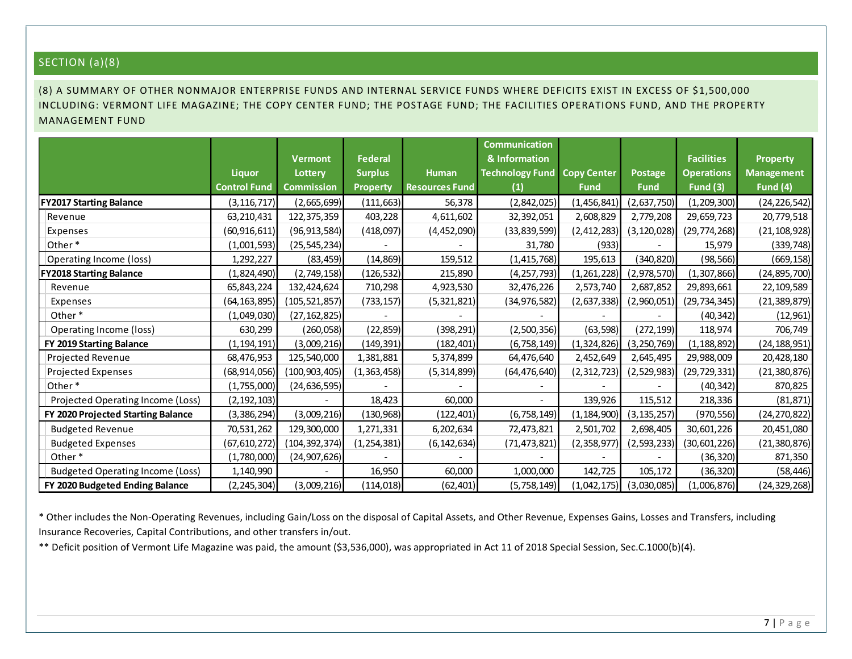# SECTION (a)(8)

# (8) A SUMMARY OF OTHER NONMAJOR ENTERPRISE FUNDS AND INTERNAL SERVICE FUNDS WHERE DEFICITS EXIST IN EXCESS OF \$1,500,000 INCLUDING: VERMONT LIFE MAGAZINE; THE COPY CENTER FUND; THE POSTAGE FUND; THE FACILITIES OPERATIONS FUND, AND THE PROPERTY MANAGEMENT FUND

| SECTION (a)(8)                                                                                                             |                     |                   |                 |                       |                        |                    |                |                   |                   |
|----------------------------------------------------------------------------------------------------------------------------|---------------------|-------------------|-----------------|-----------------------|------------------------|--------------------|----------------|-------------------|-------------------|
|                                                                                                                            |                     |                   |                 |                       |                        |                    |                |                   |                   |
| (8) A SUMMARY OF OTHER NONMAJOR ENTERPRISE FUNDS AND INTERNAL SERVICE FUNDS WHERE DEFICITS EXIST IN EXCESS OF \$1,500,000  |                     |                   |                 |                       |                        |                    |                |                   |                   |
| INCLUDING: VERMONT LIFE MAGAZINE; THE COPY CENTER FUND; THE POSTAGE FUND; THE FACILITIES OPERATIONS FUND, AND THE PROPERTY |                     |                   |                 |                       |                        |                    |                |                   |                   |
| <b>MANAGEMENT FUND</b>                                                                                                     |                     |                   |                 |                       |                        |                    |                |                   |                   |
|                                                                                                                            |                     |                   |                 |                       | <b>Communication</b>   |                    |                |                   |                   |
|                                                                                                                            |                     | <b>Vermont</b>    | Federal         |                       | & Information          |                    |                | <b>Facilities</b> | <b>Property</b>   |
|                                                                                                                            | <b>Liquor</b>       | Lottery           | <b>Surplus</b>  | Human                 | <b>Technology Fund</b> | <b>Copy Center</b> | <b>Postage</b> | <b>Operations</b> | <b>Management</b> |
|                                                                                                                            | <b>Control Fund</b> | <b>Commission</b> | <b>Property</b> | <b>Resources Fund</b> | (1)                    | <b>Fund</b>        | <b>Fund</b>    | <b>Fund (3)</b>   | Fund (4)          |
| <b>FY2017 Starting Balance</b>                                                                                             | (3, 116, 717)       | (2,665,699)       | (111, 663)      | 56,378                | (2,842,025)            | (1,456,841)        | (2,637,750)    | (1, 209, 300)     | (24, 226, 542)    |
| Revenue                                                                                                                    | 63,210,431          | 122,375,359       | 403,228         | 4,611,602             | 32,392,051             | 2,608,829          | 2,779,208      | 29,659,723        | 20,779,518        |
| Expenses                                                                                                                   | (60, 916, 611)      | (96, 913, 584)    | (418,097)       | (4,452,090)           | (33, 839, 599)         | (2, 412, 283)      | (3, 120, 028)  | (29, 774, 268)    | (21, 108, 928)    |
| Other*                                                                                                                     | (1,001,593)         | (25, 545, 234)    |                 |                       | 31,780                 | (933)              |                | 15,979            | (339, 748)        |
| Operating Income (loss)                                                                                                    | 1,292,227           | (83, 459)         | (14, 869)       | 159,512               | (1, 415, 768)          | 195,613            | (340, 820)     | (98, 566)         | (669, 158)        |
| <b>FY2018 Starting Balance</b>                                                                                             | (1,824,490)         | (2,749,158)       | (126,532)       | 215,890               | (4, 257, 793)          | (1,261,228)        | (2,978,570)    | (1, 307, 866)     | (24, 895, 700)    |
| Revenue                                                                                                                    | 65,843,224          | 132,424,624       | 710,298         | 4,923,530             | 32,476,226             | 2,573,740          | 2,687,852      | 29,893,661        | 22,109,589        |
| Expenses                                                                                                                   | (64, 163, 895)      | (105, 521, 857)   | (733, 157)      | (5,321,821)           | (34, 976, 582)         | (2,637,338)        | (2,960,051)    | (29, 734, 345)    | (21, 389, 879)    |
| Other*                                                                                                                     | (1,049,030)         | (27, 162, 825)    |                 |                       |                        |                    |                | (40, 342)         | (12, 961)         |
| Operating Income (loss)                                                                                                    | 630,299             | (260, 058)        | (22, 859)       | (398, 291)            | (2,500,356)            | (63, 598)          | (272, 199)     | 118,974           | 706,749           |
| FY 2019 Starting Balance                                                                                                   | (1, 194, 191)       | (3,009,216)       | (149, 391)      | (182, 401)            | (6, 758, 149)          | (1,324,826)        | (3, 250, 769)  | (1, 188, 892)     | (24, 188, 951)    |
| Projected Revenue                                                                                                          | 68,476,953          | 125,540,000       | 1,381,881       | 5,374,899             | 64,476,640             | 2,452,649          | 2,645,495      | 29,988,009        | 20,428,180        |
| Projected Expenses                                                                                                         | (68, 914, 056)      | (100, 903, 405)   | (1,363,458)     | (5, 314, 899)         | (64, 476, 640)         | (2, 312, 723)      | (2,529,983)    | (29, 729, 331)    | (21, 380, 876)    |
| Other*                                                                                                                     | (1,755,000)         | (24, 636, 595)    |                 |                       |                        |                    |                | (40, 342)         | 870,825           |
| Projected Operating Income (Loss)                                                                                          | (2, 192, 103)       |                   | 18,423          | 60,000                |                        | 139,926            | 115,512        | 218,336           | (81, 871)         |
| FY 2020 Projected Starting Balance                                                                                         | (3,386,294)         | (3,009,216)       | (130, 968)      | (122, 401)            | (6, 758, 149)          | (1, 184, 900)      | (3, 135, 257)  | (970, 556)        | (24, 270, 822)    |
| <b>Budgeted Revenue</b>                                                                                                    | 70,531,262          | 129,300,000       | 1,271,331       | 6,202,634             | 72,473,821             | 2,501,702          | 2,698,405      | 30,601,226        | 20,451,080        |
| <b>Budgeted Expenses</b>                                                                                                   | (67, 610, 272)      | (104, 392, 374)   | (1, 254, 381)   | (6, 142, 634)         | (71, 473, 821)         | (2,358,977)        | (2, 593, 233)  | (30,601,226)      | (21, 380, 876)    |
| Other*                                                                                                                     | (1,780,000)         | (24,907,626)      |                 |                       |                        |                    |                | (36, 320)         | 871,350           |
| <b>Budgeted Operating Income (Loss)</b>                                                                                    | 1,140,990           |                   | 16,950          | 60,000                | 1,000,000              | 142,725            | 105,172        | (36, 320)         | (58, 446)         |
| FY 2020 Budgeted Ending Balance                                                                                            | (2, 245, 304)       | (3,009,216)       | (114, 018)      | (62, 401)             | (5,758,149)            | (1,042,175)        | (3,030,085)    | (1,006,876)       | (24, 329, 268)    |